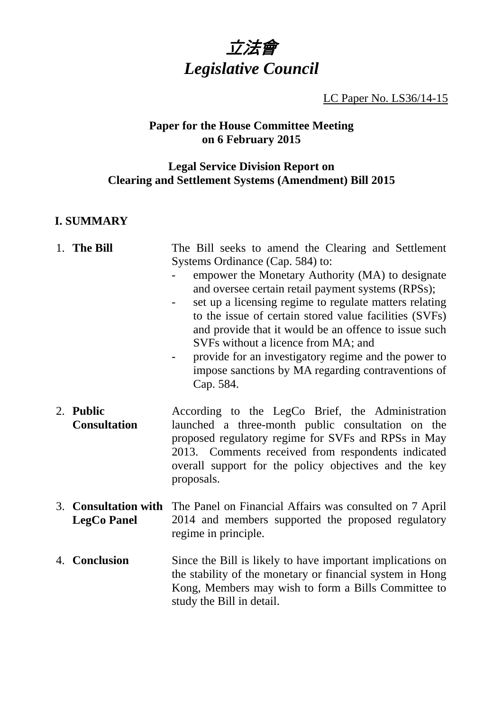

LC Paper No. LS36/14-15

# **Paper for the House Committee Meeting on 6 February 2015**

# **Legal Service Division Report on Clearing and Settlement Systems (Amendment) Bill 2015**

# **I. SUMMARY**

|    | 1. The Bill                                    | The Bill seeks to amend the Clearing and Settlement<br>Systems Ordinance (Cap. 584) to:<br>empower the Monetary Authority (MA) to designate<br>and oversee certain retail payment systems (RPSs);<br>set up a licensing regime to regulate matters relating<br>to the issue of certain stored value facilities (SVFs)<br>and provide that it would be an offence to issue such<br>SVFs without a licence from MA; and<br>provide for an investigatory regime and the power to<br>impose sanctions by MA regarding contraventions of |
|----|------------------------------------------------|-------------------------------------------------------------------------------------------------------------------------------------------------------------------------------------------------------------------------------------------------------------------------------------------------------------------------------------------------------------------------------------------------------------------------------------------------------------------------------------------------------------------------------------|
|    | 2. Public<br><b>Consultation</b>               | Cap. 584.<br>According to the LegCo Brief, the Administration<br>launched a three-month public consultation on the<br>proposed regulatory regime for SVFs and RPSs in May<br>2013. Comments received from respondents indicated<br>overall support for the policy objectives and the key<br>proposals.                                                                                                                                                                                                                              |
| 3. | <b>Consultation with</b><br><b>LegCo Panel</b> | The Panel on Financial Affairs was consulted on 7 April<br>2014 and members supported the proposed regulatory<br>regime in principle.                                                                                                                                                                                                                                                                                                                                                                                               |
|    | 4. Conclusion                                  | Since the Bill is likely to have important implications on<br>the stability of the monetary or financial system in Hong<br>Kong, Members may wish to form a Bills Committee to<br>study the Bill in detail.                                                                                                                                                                                                                                                                                                                         |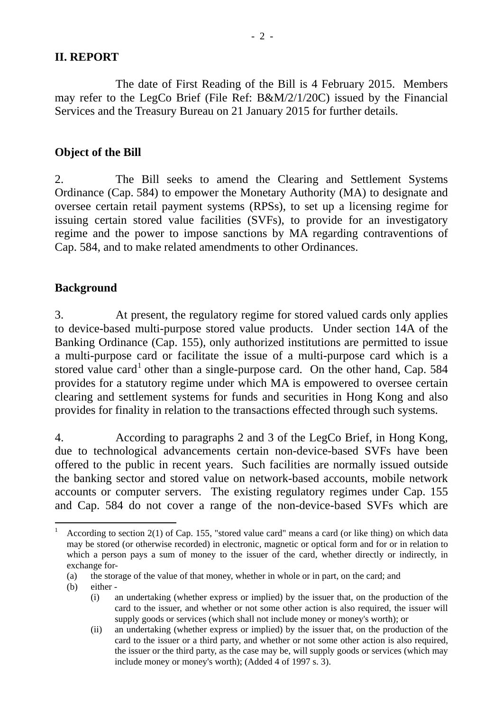#### **II. REPORT**

 The date of First Reading of the Bill is 4 February 2015. Members may refer to the LegCo Brief (File Ref: B&M/2/1/20C) issued by the Financial Services and the Treasury Bureau on 21 January 2015 for further details.

### **Object of the Bill**

2. The Bill seeks to amend the Clearing and Settlement Systems Ordinance (Cap. 584) to empower the Monetary Authority (MA) to designate and oversee certain retail payment systems (RPSs), to set up a licensing regime for issuing certain stored value facilities (SVFs), to provide for an investigatory regime and the power to impose sanctions by MA regarding contraventions of Cap. 584, and to make related amendments to other Ordinances.

#### **Background**

3. At present, the regulatory regime for stored valued cards only applies to device-based multi-purpose stored value products. Under section 14A of the Banking Ordinance (Cap. 155), only authorized institutions are permitted to issue a multi-purpose card or facilitate the issue of a multi-purpose card which is a stored value card<sup>[1](#page-1-0)</sup> other than a single-purpose card. On the other hand, Cap. 584 provides for a statutory regime under which MA is empowered to oversee certain clearing and settlement systems for funds and securities in Hong Kong and also provides for finality in relation to the transactions effected through such systems.

4. According to paragraphs 2 and 3 of the LegCo Brief, in Hong Kong, due to technological advancements certain non-device-based SVFs have been offered to the public in recent years. Such facilities are normally issued outside the banking sector and stored value on network-based accounts, mobile network accounts or computer servers. The existing regulatory regimes under Cap. 155 and Cap. 584 do not cover a range of the non-device-based SVFs which are

 $\overline{a}$ 

<span id="page-1-0"></span><sup>1</sup> According to section 2(1) of Cap. 155, "stored value card" means a card (or like thing) on which data may be stored (or otherwise recorded) in electronic, magnetic or optical form and for or in relation to which a person pays a sum of money to the issuer of the card, whether directly or indirectly, in exchange for-

<sup>(</sup>a) the storage of the value of that money, whether in whole or in part, on the card; and

<sup>(</sup>b) either -

<sup>(</sup>i) an undertaking (whether express or implied) by the issuer that, on the production of the card to the issuer, and whether or not some other action is also required, the issuer will supply goods or services (which shall not include money or money's worth); or

<sup>(</sup>ii) an undertaking (whether express or implied) by the issuer that, on the production of the card to the issuer or a third party, and whether or not some other action is also required, the issuer or the third party, as the case may be, will supply goods or services (which may include money or money's worth); (Added 4 of 1997 s. 3).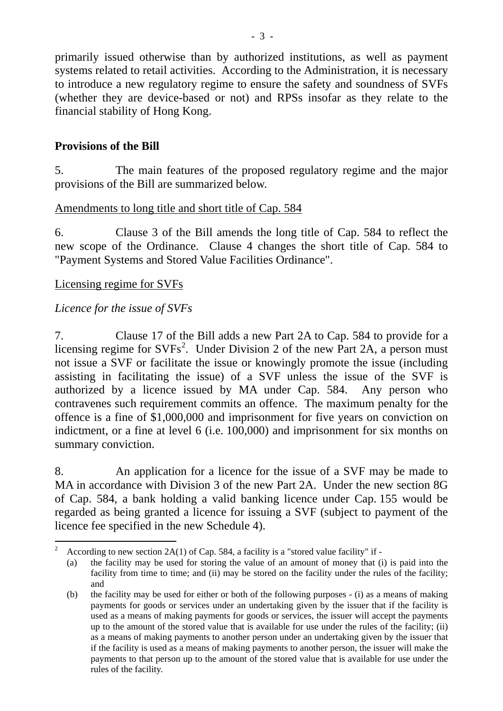primarily issued otherwise than by authorized institutions, as well as payment systems related to retail activities. According to the Administration, it is necessary to introduce a new regulatory regime to ensure the safety and soundness of SVFs (whether they are device-based or not) and RPSs insofar as they relate to the financial stability of Hong Kong.

## **Provisions of the Bill**

5. The main features of the proposed regulatory regime and the major provisions of the Bill are summarized below.

#### Amendments to long title and short title of Cap. 584

6. Clause 3 of the Bill amends the long title of Cap. 584 to reflect the new scope of the Ordinance. Clause 4 changes the short title of Cap. 584 to "Payment Systems and Stored Value Facilities Ordinance".

### Licensing regime for SVFs

### *Licence for the issue of SVFs*

7. Clause 17 of the Bill adds a new Part 2A to Cap. 584 to provide for a licensing regime for  $SVFs^2$  $SVFs^2$ . Under Division 2 of the new Part 2A, a person must not issue a SVF or facilitate the issue or knowingly promote the issue (including assisting in facilitating the issue) of a SVF unless the issue of the SVF is authorized by a licence issued by MA under Cap. 584. Any person who contravenes such requirement commits an offence. The maximum penalty for the offence is a fine of \$1,000,000 and imprisonment for five years on conviction on indictment, or a fine at level 6 (i.e. 100,000) and imprisonment for six months on summary conviction.

8. An application for a licence for the issue of a SVF may be made to MA in accordance with Division 3 of the new Part 2A. Under the new section 8G of Cap. 584, a bank holding a valid banking licence under Cap. 155 would be regarded as being granted a licence for issuing a SVF (subject to payment of the licence fee specified in the new Schedule 4).

<span id="page-2-0"></span> $\overline{a}$ 2 According to new section 2A(1) of Cap. 584, a facility is a "stored value facility" if -

<sup>(</sup>a) the facility may be used for storing the value of an amount of money that (i) is paid into the facility from time to time; and (ii) may be stored on the facility under the rules of the facility; and

<sup>(</sup>b) the facility may be used for either or both of the following purposes - (i) as a means of making payments for goods or services under an undertaking given by the issuer that if the facility is used as a means of making payments for goods or services, the issuer will accept the payments up to the amount of the stored value that is available for use under the rules of the facility; (ii) as a means of making payments to another person under an undertaking given by the issuer that if the facility is used as a means of making payments to another person, the issuer will make the payments to that person up to the amount of the stored value that is available for use under the rules of the facility.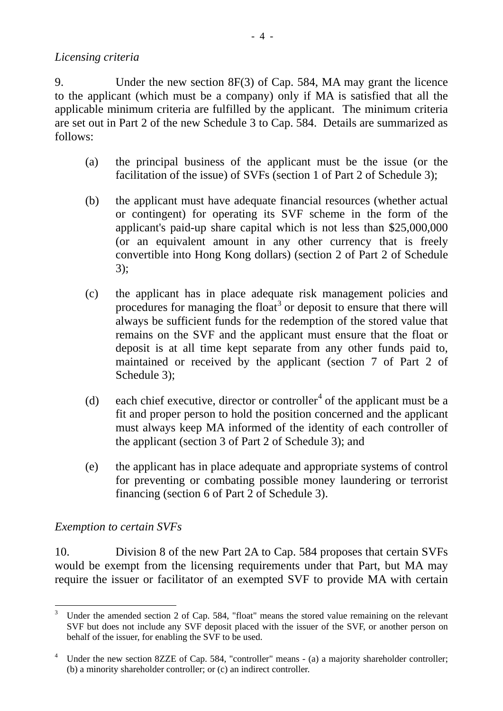### *Licensing criteria*

9. Under the new section 8F(3) of Cap. 584, MA may grant the licence to the applicant (which must be a company) only if MA is satisfied that all the applicable minimum criteria are fulfilled by the applicant. The minimum criteria are set out in Part 2 of the new Schedule 3 to Cap. 584. Details are summarized as follows:

- (a) the principal business of the applicant must be the issue (or the facilitation of the issue) of SVFs (section 1 of Part 2 of Schedule 3);
- (b) the applicant must have adequate financial resources (whether actual or contingent) for operating its SVF scheme in the form of the applicant's paid-up share capital which is not less than \$25,000,000 (or an equivalent amount in any other currency that is freely convertible into Hong Kong dollars) (section 2 of Part 2 of Schedule 3);
- (c) the applicant has in place adequate risk management policies and procedures for managing the float<sup>[3](#page-3-0)</sup> or deposit to ensure that there will always be sufficient funds for the redemption of the stored value that remains on the SVF and the applicant must ensure that the float or deposit is at all time kept separate from any other funds paid to, maintained or received by the applicant (section 7 of Part 2 of Schedule 3);
- (d) each chief executive, director or controller<sup>[4](#page-3-1)</sup> of the applicant must be a fit and proper person to hold the position concerned and the applicant must always keep MA informed of the identity of each controller of the applicant (section 3 of Part 2 of Schedule 3); and
- (e) the applicant has in place adequate and appropriate systems of control for preventing or combating possible money laundering or terrorist financing (section 6 of Part 2 of Schedule 3).

### *Exemption to certain SVFs*

10. Division 8 of the new Part 2A to Cap. 584 proposes that certain SVFs would be exempt from the licensing requirements under that Part, but MA may require the issuer or facilitator of an exempted SVF to provide MA with certain

<span id="page-3-0"></span> $\overline{a}$ 3 Under the amended section 2 of Cap. 584, "float" means the stored value remaining on the relevant SVF but does not include any SVF deposit placed with the issuer of the SVF, or another person on behalf of the issuer, for enabling the SVF to be used.

<span id="page-3-1"></span><sup>4</sup> Under the new section 8ZZE of Cap. 584, "controller" means - (a) a majority shareholder controller; (b) a minority shareholder controller; or (c) an indirect controller.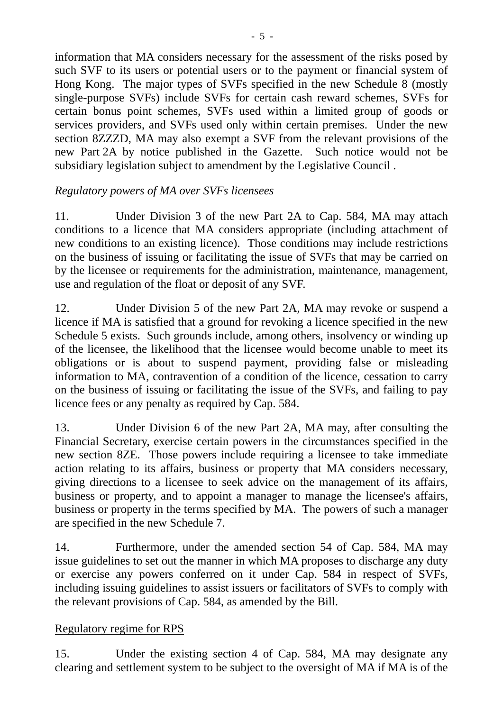information that MA considers necessary for the assessment of the risks posed by such SVF to its users or potential users or to the payment or financial system of Hong Kong. The major types of SVFs specified in the new Schedule 8 (mostly single-purpose SVFs) include SVFs for certain cash reward schemes, SVFs for certain bonus point schemes, SVFs used within a limited group of goods or services providers, and SVFs used only within certain premises. Under the new section 8ZZZD, MA may also exempt a SVF from the relevant provisions of the new Part 2A by notice published in the Gazette. Such notice would not be subsidiary legislation subject to amendment by the Legislative Council .

# *Regulatory powers of MA over SVFs licensees*

11. Under Division 3 of the new Part 2A to Cap. 584, MA may attach conditions to a licence that MA considers appropriate (including attachment of new conditions to an existing licence). Those conditions may include restrictions on the business of issuing or facilitating the issue of SVFs that may be carried on by the licensee or requirements for the administration, maintenance, management, use and regulation of the float or deposit of any SVF.

12. Under Division 5 of the new Part 2A, MA may revoke or suspend a licence if MA is satisfied that a ground for revoking a licence specified in the new Schedule 5 exists. Such grounds include, among others, insolvency or winding up of the licensee, the likelihood that the licensee would become unable to meet its obligations or is about to suspend payment, providing false or misleading information to MA, contravention of a condition of the licence, cessation to carry on the business of issuing or facilitating the issue of the SVFs, and failing to pay licence fees or any penalty as required by Cap. 584.

13. Under Division 6 of the new Part 2A, MA may, after consulting the Financial Secretary, exercise certain powers in the circumstances specified in the new section 8ZE. Those powers include requiring a licensee to take immediate action relating to its affairs, business or property that MA considers necessary, giving directions to a licensee to seek advice on the management of its affairs, business or property, and to appoint a manager to manage the licensee's affairs, business or property in the terms specified by MA. The powers of such a manager are specified in the new Schedule 7.

14. Furthermore, under the amended section 54 of Cap. 584, MA may issue guidelines to set out the manner in which MA proposes to discharge any duty or exercise any powers conferred on it under Cap. 584 in respect of SVFs, including issuing guidelines to assist issuers or facilitators of SVFs to comply with the relevant provisions of Cap. 584, as amended by the Bill.

### Regulatory regime for RPS

15. Under the existing section 4 of Cap. 584, MA may designate any clearing and settlement system to be subject to the oversight of MA if MA is of the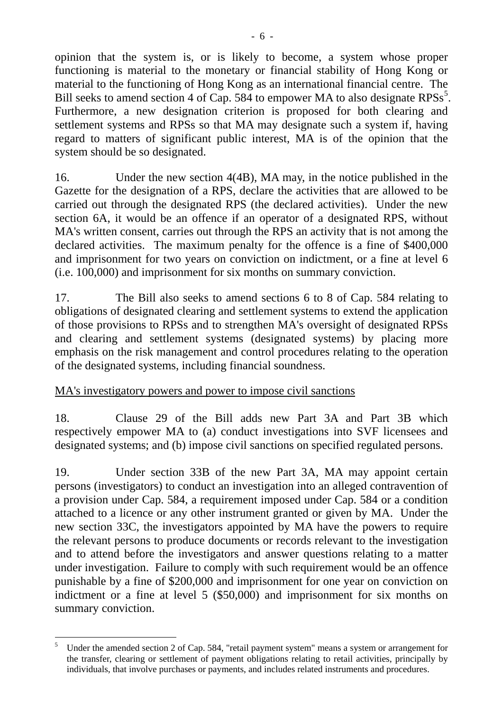opinion that the system is, or is likely to become, a system whose proper functioning is material to the monetary or financial stability of Hong Kong or material to the functioning of Hong Kong as an international financial centre. The Bill seeks to amend section 4 of Cap. [5](#page-5-0)84 to empower MA to also designate RPSs<sup>5</sup>. Furthermore, a new designation criterion is proposed for both clearing and settlement systems and RPSs so that MA may designate such a system if, having regard to matters of significant public interest, MA is of the opinion that the system should be so designated.

16. Under the new section 4(4B), MA may, in the notice published in the Gazette for the designation of a RPS, declare the activities that are allowed to be carried out through the designated RPS (the declared activities). Under the new section 6A, it would be an offence if an operator of a designated RPS, without MA's written consent, carries out through the RPS an activity that is not among the declared activities. The maximum penalty for the offence is a fine of \$400,000 and imprisonment for two years on conviction on indictment, or a fine at level 6 (i.e. 100,000) and imprisonment for six months on summary conviction.

17. The Bill also seeks to amend sections 6 to 8 of Cap. 584 relating to obligations of designated clearing and settlement systems to extend the application of those provisions to RPSs and to strengthen MA's oversight of designated RPSs and clearing and settlement systems (designated systems) by placing more emphasis on the risk management and control procedures relating to the operation of the designated systems, including financial soundness.

### MA's investigatory powers and power to impose civil sanctions

18. Clause 29 of the Bill adds new Part 3A and Part 3B which respectively empower MA to (a) conduct investigations into SVF licensees and designated systems; and (b) impose civil sanctions on specified regulated persons.

19. Under section 33B of the new Part 3A, MA may appoint certain persons (investigators) to conduct an investigation into an alleged contravention of a provision under Cap. 584, a requirement imposed under Cap. 584 or a condition attached to a licence or any other instrument granted or given by MA. Under the new section 33C, the investigators appointed by MA have the powers to require the relevant persons to produce documents or records relevant to the investigation and to attend before the investigators and answer questions relating to a matter under investigation. Failure to comply with such requirement would be an offence punishable by a fine of \$200,000 and imprisonment for one year on conviction on indictment or a fine at level 5 (\$50,000) and imprisonment for six months on summary conviction.

<span id="page-5-0"></span> $\overline{a}$ 5 Under the amended section 2 of Cap. 584, "retail payment system" means a system or arrangement for the transfer, clearing or settlement of payment obligations relating to retail activities, principally by individuals, that involve purchases or payments, and includes related instruments and procedures.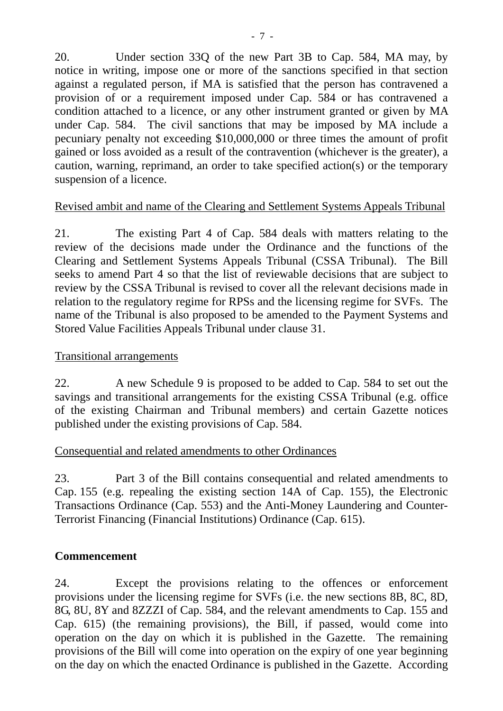20. Under section 33Q of the new Part 3B to Cap. 584, MA may, by notice in writing, impose one or more of the sanctions specified in that section against a regulated person, if MA is satisfied that the person has contravened a provision of or a requirement imposed under Cap. 584 or has contravened a condition attached to a licence, or any other instrument granted or given by MA under Cap. 584. The civil sanctions that may be imposed by MA include a pecuniary penalty not exceeding \$10,000,000 or three times the amount of profit gained or loss avoided as a result of the contravention (whichever is the greater), a caution, warning, reprimand, an order to take specified action(s) or the temporary suspension of a licence.

## Revised ambit and name of the Clearing and Settlement Systems Appeals Tribunal

21. The existing Part 4 of Cap. 584 deals with matters relating to the review of the decisions made under the Ordinance and the functions of the Clearing and Settlement Systems Appeals Tribunal (CSSA Tribunal). The Bill seeks to amend Part 4 so that the list of reviewable decisions that are subject to review by the CSSA Tribunal is revised to cover all the relevant decisions made in relation to the regulatory regime for RPSs and the licensing regime for SVFs. The name of the Tribunal is also proposed to be amended to the Payment Systems and Stored Value Facilities Appeals Tribunal under clause 31.

### Transitional arrangements

22. A new Schedule 9 is proposed to be added to Cap. 584 to set out the savings and transitional arrangements for the existing CSSA Tribunal (e.g. office of the existing Chairman and Tribunal members) and certain Gazette notices published under the existing provisions of Cap. 584.

### Consequential and related amendments to other Ordinances

23. Part 3 of the Bill contains consequential and related amendments to Cap. 155 (e.g. repealing the existing section 14A of Cap. 155), the Electronic Transactions Ordinance (Cap. 553) and the Anti-Money Laundering and Counter-Terrorist Financing (Financial Institutions) Ordinance (Cap. 615).

### **Commencement**

24. Except the provisions relating to the offences or enforcement provisions under the licensing regime for SVFs (i.e. the new sections 8B, 8C, 8D, 8G, 8U, 8Y and 8ZZZI of Cap. 584, and the relevant amendments to Cap. 155 and Cap. 615) (the remaining provisions), the Bill, if passed, would come into operation on the day on which it is published in the Gazette. The remaining provisions of the Bill will come into operation on the expiry of one year beginning on the day on which the enacted Ordinance is published in the Gazette. According